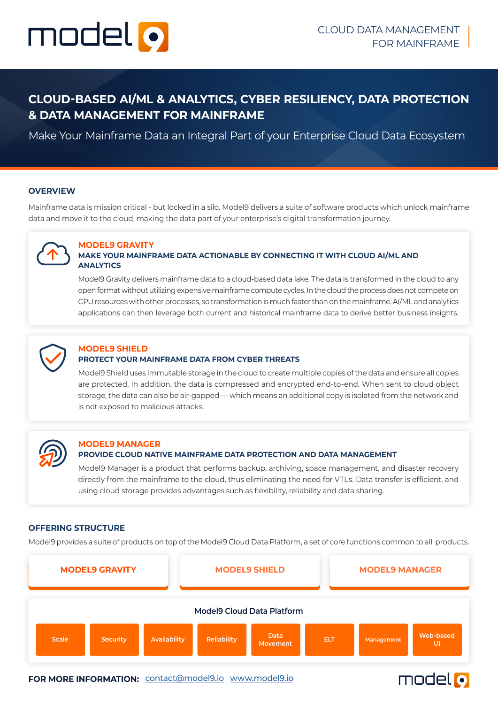

# **CLOUD-BASED AI/ML & ANALYTICS, CYBER RESILIENCY, DATA PROTECTION & DATA MANAGEMENT FOR MAINFRAME**

Make Your Mainframe Data an Integral Part of your Enterprise Cloud Data Ecosystem

#### **OVERVIEW**

Mainframe data is mission critical - but locked in a silo. Model9 delivers a suite of software products which unlock mainframe data and move it to the cloud, making the data part of your enterprise's digital transformation journey.



# **MODEL9 GRAVITY**

# **MAKE YOUR MAINFRAME DATA ACTIONABLE BY CONNECTING IT WITH CLOUD AI/ML AND ANALYTICS**

Model9 Gravity delivers mainframe data to a cloud-based data lake. The data is transformed in the cloud to any open format without utilizing expensive mainframe compute cycles. In the cloud the process does not compete on CPU resources with other processes, so transformation is much faster than on the mainframe. AI/ML and analytics applications can then leverage both current and historical mainframe data to derive better business insights.



#### **MODEL9 SHIELD PROTECT YOUR MAINFRAME DATA FROM CYBER THREATS**

Model9 Shield uses immutable storage in the cloud to create multiple copies of the data and ensure all copies are protected. In addition, the data is compressed and encrypted end-to-end. When sent to cloud object storage, the data can also be air-gapped — which means an additional copy is isolated from the network and is not exposed to malicious attacks.



### **MODEL9 MANAGER PROVIDE CLOUD NATIVE MAINFRAME DATA PROTECTION AND DATA MANAGEMENT**

Model9 Manager is a product that performs backup, archiving, space management, and disaster recovery directly from the mainframe to the cloud, thus eliminating the need for VTLs. Data transfer is efficient, and using cloud storage provides advantages such as flexibility, reliability and data sharing.

#### **OFFERING STRUCTURE**

Model9 provides a suite of products on top of the Model9 Cloud Data Platform, a set of core functions common to all products.